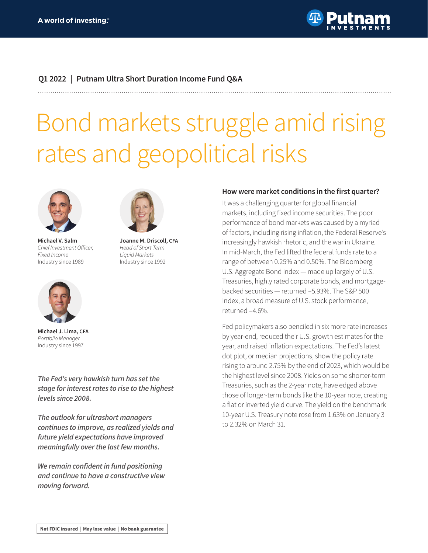

## **Q1 2022 | Putnam Ultra Short Duration Income Fund Q&A**

**Joanne M. Driscoll, CFA** Head of Short Term Liquid Markets Industry since 1992

# Bond markets struggle amid rising rates and geopolitical risks



**Michael V. Salm** Chief Investment Officer, Fixed Income Industry since 1989



**Michael J. Lima, CFA** Portfolio Manager Industry since 1997

*The Fed's very hawkish turn has set the stage for interest rates to rise to the highest levels since 2008.*

*The outlook for ultrashort managers continues to improve, as realized yields and future yield expectations have improved meaningfully over the last few months.*

**We remain confident in fund positioning**  *and continue to have a constructive view moving forward.*

#### **How were market conditions in the first quarter?**

It was a challenging quarter for global financial markets, including fixed income securities. The poor performance of bond markets was caused by a myriad of factors, including rising inflation, the Federal Reserve's increasingly hawkish rhetoric, and the war in Ukraine. In mid-March, the Fed lifted the federal funds rate to a range of between 0.25% and 0.50%. The Bloomberg U.S. Aggregate Bond Index — made up largely of U.S. Treasuries, highly rated corporate bonds, and mortgagebacked securities — returned –5.93%. The S&P 500 Index, a broad measure of U.S. stock performance, returned –4.6%.

Fed policymakers also penciled in six more rate increases by year-end, reduced their U.S. growth estimates for the year, and raised inflation expectations. The Fed's latest dot plot, or median projections, show the policy rate rising to around 2.75% by the end of 2023, which would be the highest level since 2008. Yields on some shorter-term Treasuries, such as the 2-year note, have edged above those of longer-term bonds like the 10-year note, creating a flat or inverted yield curve. The yield on the benchmark 10-year U.S. Treasury note rose from 1.63% on January 3 to 2.32% on March 31.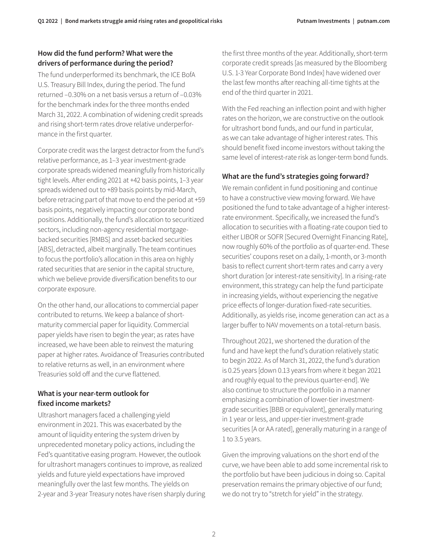### **How did the fund perform? What were the drivers of performance during the period?**

The fund underperformed its benchmark, the ICE BofA U.S. Treasury Bill Index, during the period. The fund returned –0.30% on a net basis versus a return of –0.03% for the benchmark index for the three months ended March 31, 2022. A combination of widening credit spreads and rising short-term rates drove relative underperformance in the first quarter.

Corporate credit was the largest detractor from the fund's relative performance, as 1–3 year investment-grade corporate spreads widened meaningfully from historically tight levels. After ending 2021 at +42 basis points, 1–3 year spreads widened out to +89 basis points by mid-March, before retracing part of that move to end the period at +59 basis points, negatively impacting our corporate bond positions. Additionally, the fund's allocation to securitized sectors, including non-agency residential mortgagebacked securities [RMBS] and asset-backed securities [ABS], detracted, albeit marginally. The team continues to focus the portfolio's allocation in this area on highly rated securities that are senior in the capital structure, which we believe provide diversification benefits to our corporate exposure.

On the other hand, our allocations to commercial paper contributed to returns. We keep a balance of shortmaturity commercial paper for liquidity. Commercial paper yields have risen to begin the year; as rates have increased, we have been able to reinvest the maturing paper at higher rates. Avoidance of Treasuries contributed to relative returns as well, in an environment where Treasuries sold off and the curve flattened.

## **What is your near-term outlook for fixed income markets?**

Ultrashort managers faced a challenging yield environment in 2021. This was exacerbated by the amount of liquidity entering the system driven by unprecedented monetary policy actions, including the Fed's quantitative easing program. However, the outlook for ultrashort managers continues to improve, as realized yields and future yield expectations have improved meaningfully over the last few months. The yields on 2-year and 3-year Treasury notes have risen sharply during

the first three months of the year. Additionally, short-term corporate credit spreads [as measured by the Bloomberg U.S. 1-3 Year Corporate Bond Index] have widened over the last few months after reaching all-time tights at the end of the third quarter in 2021.

With the Fed reaching an inflection point and with higher rates on the horizon, we are constructive on the outlook for ultrashort bond funds, and our fund in particular, as we can take advantage of higher interest rates. This should benefit fixed income investors without taking the same level of interest-rate risk as longer-term bond funds.

# **What are the fund's strategies going forward?**

We remain confident in fund positioning and continue to have a constructive view moving forward. We have positioned the fund to take advantage of a higher interestrate environment. Specifically, we increased the fund's allocation to securities with a floating-rate coupon tied to either LIBOR or SOFR [Secured Overnight Financing Rate], now roughly 60% of the portfolio as of quarter-end. These securities' coupons reset on a daily, 1-month, or 3-month basis to reflect current short-term rates and carry a very short duration [or interest-rate sensitivity]. In a rising-rate environment, this strategy can help the fund participate in increasing yields, without experiencing the negative price effects of longer-duration fixed-rate securities. Additionally, as yields rise, income generation can act as a larger buffer to NAV movements on a total-return basis.

Throughout 2021, we shortened the duration of the fund and have kept the fund's duration relatively static to begin 2022. As of March 31, 2022, the fund's duration is 0.25 years [down 0.13 years from where it began 2021 and roughly equal to the previous quarter-end]. We also continue to structure the portfolio in a manner emphasizing a combination of lower-tier investmentgrade securities [BBB or equivalent], generally maturing in 1 year or less, and upper-tier investment-grade securities [A or AA rated], generally maturing in a range of 1 to 3.5 years.

Given the improving valuations on the short end of the curve, we have been able to add some incremental risk to the portfolio but have been judicious in doing so. Capital preservation remains the primary objective of our fund; we do not try to "stretch for yield" in the strategy.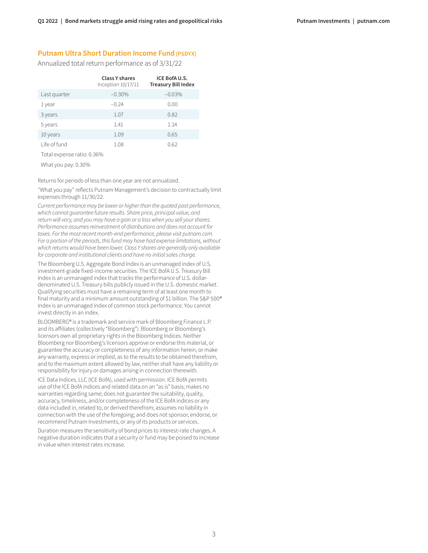#### **Putnam Ultra Short Duration Income Fund (PSDYX)**

Annualized total return performance as of 3/31/22

|              | Class Y shares<br>Inception 10/17/11 | ICE BofAU.S.<br><b>Treasury Bill Index</b> |
|--------------|--------------------------------------|--------------------------------------------|
| Last quarter | $-0.30%$                             | $-0.03%$                                   |
| 1 year       | $-0.24$                              | 0.00                                       |
| 3 years      | 1.07                                 | 0.82                                       |
| 5 years      | 1.41                                 | 1.14                                       |
| 10 years     | 1.09                                 | 0.65                                       |
| Life of fund | 1.08                                 | 0.62                                       |
|              |                                      |                                            |

Total expense ratio: 0.36%

What you pay: 0.30%

Returns for periods of less than one year are not annualized.

"What you pay" reflects Putnam Management's decision to contractually limit expenses through 11/30/22.

Current performance may be lower or higher than the quoted past performance, which cannot guarantee future results. Share price, principal value, and return will vary, and you may have a gain or a loss when you sell your shares. Performance assumes reinvestment of distributions and does not account for taxes. For the most recent month-end performance, please visit [putnam.com.](https://www.putnam.com?ref=TL736.pdf) For a portion of the periods, this fund may have had expense limitations, without which returns would have been lower. Class Y shares are generally only available for corporate and institutional clients and have no initial sales charge.

The Bloomberg U.S. Aggregate Bond Index is an unmanaged index of U.S. investment-grade fixed-income securities. The ICE BofA U.S. Treasury Bill Index is an unmanaged index that tracks the performance of U.S. dollardenominated U.S. Treasury bills publicly issued in the U.S. domestic market. Qualifying securities must have a remaining term of at least one month to final maturity and a minimum amount outstanding of \$1 billion. The S&P 500® Index is an unmanaged index of common stock performance. You cannot invest directly in an index.

BLOOMBERG® is a trademark and service mark of Bloomberg Finance L.P. and its affiliates (collectively "Bloomberg"). Bloomberg or Bloomberg's licensors own all proprietary rights in the Bloomberg Indices. Neither Bloomberg nor Bloomberg's licensors approve or endorse this material, or guarantee the accuracy or completeness of any information herein, or make any warranty, express or implied, as to the results to be obtained therefrom, and to the maximum extent allowed by law, neither shall have any liability or responsibility for injury or damages arising in connection therewith.

ICE Data Indices, LLC (ICE BofA), used with permission. ICE BofA permits use of the ICE BofA indices and related data on an "as is" basis; makes no warranties regarding same; does not guarantee the suitability, quality, accuracy, timeliness, and/or completeness of the ICE BofA indices or any data included in, related to, or derived therefrom; assumes no liability in connection with the use of the foregoing; and does not sponsor, endorse, or recommend Putnam Investments, or any of its products or services.

Duration measures the sensitivity of bond prices to interest-rate changes. A negative duration indicates that a security or fund may be poised to increase in value when interest rates increase.